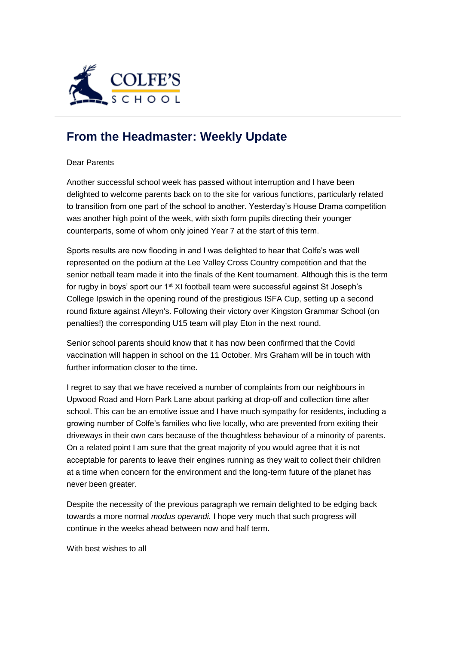

## **[From the Headmaster: Weekly Update](https://urlsand.esvalabs.com/?u=https%3A%2F%2Fschoolpostcdn.blob.core.windows.net%2Fpublic%2F~%2Femail-test-message.html&e=f4e25f66&h=847ca343&f=y&p=y)**

## Dear Parents

Another successful school week has passed without interruption and I have been delighted to welcome parents back on to the site for various functions, particularly related to transition from one part of the school to another. Yesterday's House Drama competition was another high point of the week, with sixth form pupils directing their younger counterparts, some of whom only joined Year 7 at the start of this term.

Sports results are now flooding in and I was delighted to hear that Colfe's was well represented on the podium at the Lee Valley Cross Country competition and that the senior netball team made it into the finals of the Kent tournament. Although this is the term for rugby in boys' sport our 1<sup>st</sup> XI football team were successful against St Joseph's College Ipswich in the opening round of the prestigious ISFA Cup, setting up a second round fixture against Alleyn's. Following their victory over Kingston Grammar School (on penalties!) the corresponding U15 team will play Eton in the next round.

Senior school parents should know that it has now been confirmed that the Covid vaccination will happen in school on the 11 October. Mrs Graham will be in touch with further information closer to the time.

I regret to say that we have received a number of complaints from our neighbours in Upwood Road and Horn Park Lane about parking at drop-off and collection time after school. This can be an emotive issue and I have much sympathy for residents, including a growing number of Colfe's families who live locally, who are prevented from exiting their driveways in their own cars because of the thoughtless behaviour of a minority of parents. On a related point I am sure that the great majority of you would agree that it is not acceptable for parents to leave their engines running as they wait to collect their children at a time when concern for the environment and the long-term future of the planet has never been greater.

Despite the necessity of the previous paragraph we remain delighted to be edging back towards a more normal *modus operandi.* I hope very much that such progress will continue in the weeks ahead between now and half term.

With best wishes to all